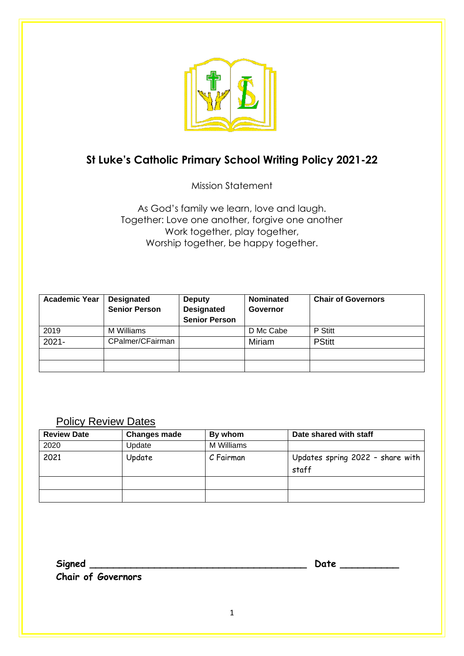

# **St Luke's Catholic Primary School Writing Policy 2021-22**

Mission Statement

As God's family we learn, love and laugh. Together: Love one another, forgive one another Work together, play together, Worship together, be happy together.

| <b>Academic Year</b> | <b>Designated</b>    | <b>Deputy</b>        | <b>Nominated</b> | <b>Chair of Governors</b> |
|----------------------|----------------------|----------------------|------------------|---------------------------|
|                      | <b>Senior Person</b> | <b>Designated</b>    | Governor         |                           |
|                      |                      | <b>Senior Person</b> |                  |                           |
| 2019                 | M Williams           |                      | D Mc Cabe        | P Stitt                   |
| $2021 -$             | CPalmer/CFairman     |                      | Miriam           | <b>PStitt</b>             |
|                      |                      |                      |                  |                           |
|                      |                      |                      |                  |                           |

## **Policy Review Dates**

| <b>Review Date</b> | <b>Changes made</b> | By whom    | Date shared with staff                    |
|--------------------|---------------------|------------|-------------------------------------------|
| 2020               | Update              | M Williams |                                           |
| 2021               | Update              | C Fairman  | Updates spring 2022 - share with<br>staff |
|                    |                     |            |                                           |
|                    |                     |            |                                           |

**Signed \_\_\_\_\_\_\_\_\_\_\_\_\_\_\_\_\_\_\_\_\_\_\_\_\_\_\_\_\_\_\_\_\_\_\_\_\_ Date \_\_\_\_\_\_\_\_\_\_ Chair of Governors**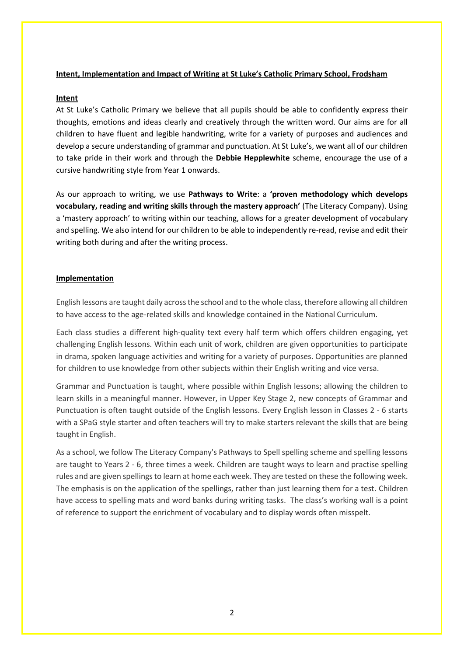#### **Intent, Implementation and Impact of Writing at St Luke's Catholic Primary School, Frodsham**

#### **Intent**

At St Luke's Catholic Primary we believe that all pupils should be able to confidently express their thoughts, emotions and ideas clearly and creatively through the written word. Our aims are for all children to have fluent and legible handwriting, write for a variety of purposes and audiences and develop a secure understanding of grammar and punctuation. At St Luke's, we want all of our children to take pride in their work and through the **Debbie Hepplewhite** scheme, encourage the use of a cursive handwriting style from Year 1 onwards.

As our approach to writing, we use **Pathways to Write**: a **'proven methodology which develops vocabulary, reading and writing skills through the mastery approach'** (The Literacy Company). Using a 'mastery approach' to writing within our teaching, allows for a greater development of vocabulary and spelling. We also intend for our children to be able to independently re-read, revise and edit their writing both during and after the writing process.

#### **Implementation**

English lessons are taught daily across the school and to the whole class, therefore allowing all children to have access to the age-related skills and knowledge contained in the National Curriculum.

Each class studies a different high-quality text every half term which offers children engaging, yet challenging English lessons. Within each unit of work, children are given opportunities to participate in drama, spoken language activities and writing for a variety of purposes. Opportunities are planned for children to use knowledge from other subjects within their English writing and vice versa.

Grammar and Punctuation is taught, where possible within English lessons; allowing the children to learn skills in a meaningful manner. However, in Upper Key Stage 2, new concepts of Grammar and Punctuation is often taught outside of the English lessons. Every English lesson in Classes 2 - 6 starts with a SPaG style starter and often teachers will try to make starters relevant the skills that are being taught in English.

As a school, we follow The Literacy Company's Pathways to Spell spelling scheme and spelling lessons are taught to Years 2 - 6, three times a week. Children are taught ways to learn and practise spelling rules and are given spellings to learn at home each week. They are tested on these the following week. The emphasis is on the application of the spellings, rather than just learning them for a test. Children have access to spelling mats and word banks during writing tasks. The class's working wall is a point of reference to support the enrichment of vocabulary and to display words often misspelt.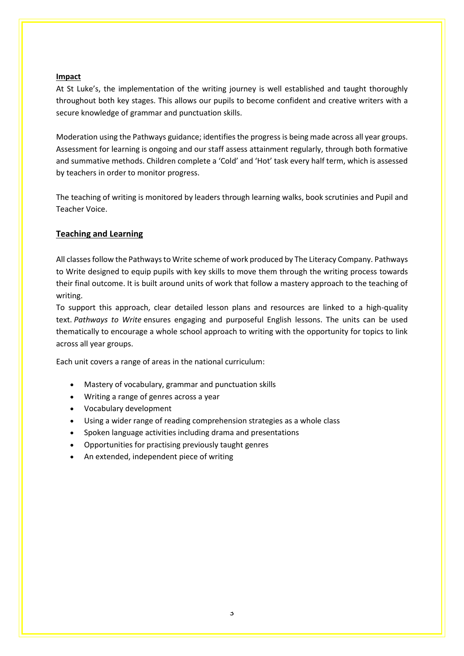#### **Impact**

At St Luke's, the implementation of the writing journey is well established and taught thoroughly throughout both key stages. This allows our pupils to become confident and creative writers with a secure knowledge of grammar and punctuation skills.

Moderation using the Pathways guidance; identifies the progress is being made across all year groups. Assessment for learning is ongoing and our staff assess attainment regularly, through both formative and summative methods. Children complete a 'Cold' and 'Hot' task every half term, which is assessed by teachers in order to monitor progress.

The teaching of writing is monitored by leaders through learning walks, book scrutinies and Pupil and Teacher Voice.

#### **Teaching and Learning**

All classesfollow the Pathways to Write scheme of work produced by The Literacy Company. Pathways to Write designed to equip pupils with key skills to move them through the writing process towards their final outcome. It is built around units of work that follow a mastery approach to the teaching of writing.

To support this approach, clear detailed lesson plans and resources are linked to a high-quality text. *Pathways to Write* ensures engaging and purposeful English lessons. The units can be used thematically to encourage a whole school approach to writing with the opportunity for topics to link across all year groups.

Each unit covers a range of areas in the national curriculum:

- Mastery of vocabulary, grammar and punctuation skills
- Writing a range of genres across a year
- Vocabulary development
- Using a wider range of reading comprehension strategies as a whole class
- Spoken language activities including drama and presentations
- Opportunities for practising previously taught genres
- An extended, independent piece of writing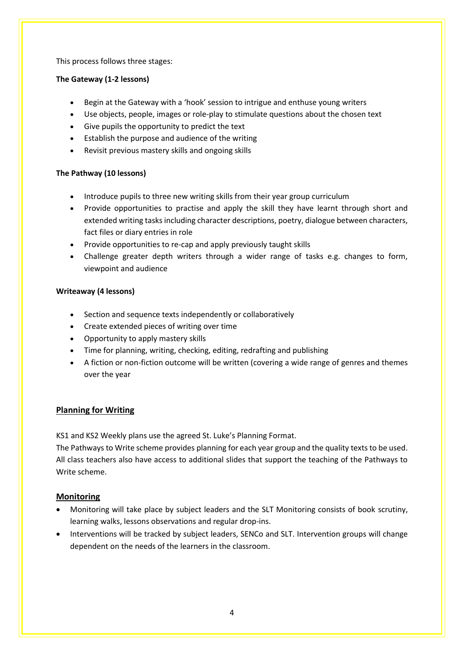This process follows three stages:

### **The Gateway (1-2 lessons)**

- Begin at the Gateway with a 'hook' session to intrigue and enthuse young writers
- Use objects, people, images or role-play to stimulate questions about the chosen text
- Give pupils the opportunity to predict the text
- Establish the purpose and audience of the writing
- Revisit previous mastery skills and ongoing skills

## **The Pathway (10 lessons)**

- Introduce pupils to three new writing skills from their year group curriculum
- Provide opportunities to practise and apply the skill they have learnt through short and extended writing tasks including character descriptions, poetry, dialogue between characters, fact files or diary entries in role
- Provide opportunities to re-cap and apply previously taught skills
- Challenge greater depth writers through a wider range of tasks e.g. changes to form, viewpoint and audience

## **Writeaway (4 lessons)**

- Section and sequence texts independently or collaboratively
- Create extended pieces of writing over time
- Opportunity to apply mastery skills
- Time for planning, writing, checking, editing, redrafting and publishing
- A fiction or non-fiction outcome will be written (covering a wide range of genres and themes over the year

## **Planning for Writing**

KS1 and KS2 Weekly plans use the agreed St. Luke's Planning Format.

The Pathways to Write scheme provides planning for each year group and the quality texts to be used. All class teachers also have access to additional slides that support the teaching of the Pathways to Write scheme.

## **Monitoring**

- Monitoring will take place by subject leaders and the SLT Monitoring consists of book scrutiny, learning walks, lessons observations and regular drop-ins.
- Interventions will be tracked by subject leaders, SENCo and SLT. Intervention groups will change dependent on the needs of the learners in the classroom.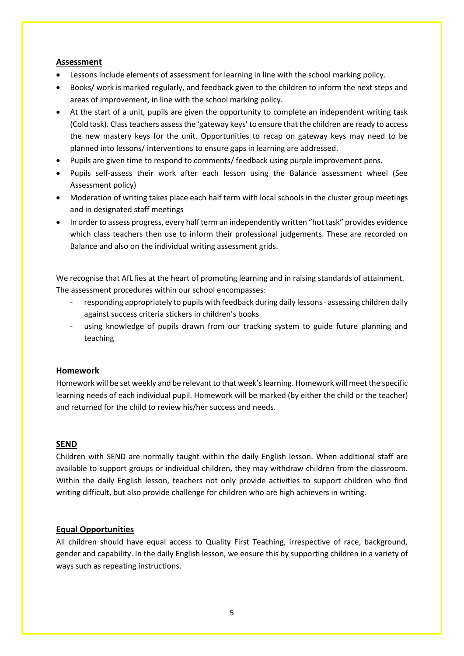#### **Assessment**

- Lessons include elements of assessment for learning in line with the school marking policy.
- Books/ work is marked regularly, and feedback given to the children to inform the next steps and areas of improvement, in line with the school marking policy.
- At the start of a unit, pupils are given the opportunity to complete an independent writing task (Cold task). Class teachers assess the 'gateway keys' to ensure that the children are ready to access the new mastery keys for the unit. Opportunities to recap on gateway keys may need to be planned into lessons/ interventions to ensure gaps in learning are addressed.
- Pupils are given time to respond to comments/ feedback using purple improvement pens.
- Pupils self-assess their work after each lesson using the Balance assessment wheel (See Assessment policy)
- Moderation of writing takes place each half term with local schools in the cluster group meetings and in designated staff meetings
- In order to assess progress, every half term an independently written "hot task" provides evidence which class teachers then use to inform their professional judgements. These are recorded on Balance and also on the individual writing assessment grids.

We recognise that AfL lies at the heart of promoting learning and in raising standards of attainment. The assessment procedures within our school encompasses:

- responding appropriately to pupils with feedback during daily lessons ∙ assessing children daily against success criteria stickers in children's books
- using knowledge of pupils drawn from our tracking system to guide future planning and teaching

### **Homework**

Homework will be set weekly and be relevant to that week's learning. Homework will meet the specific learning needs of each individual pupil. Homework will be marked (by either the child or the teacher) and returned for the child to review his/her success and needs.

#### **SEND**

Children with SEND are normally taught within the daily English lesson. When additional staff are available to support groups or individual children, they may withdraw children from the classroom. Within the daily English lesson, teachers not only provide activities to support children who find writing difficult, but also provide challenge for children who are high achievers in writing.

### **Equal Opportunities**

All children should have equal access to Quality First Teaching, irrespective of race, background, gender and capability. In the daily English lesson, we ensure this by supporting children in a variety of ways such as repeating instructions.